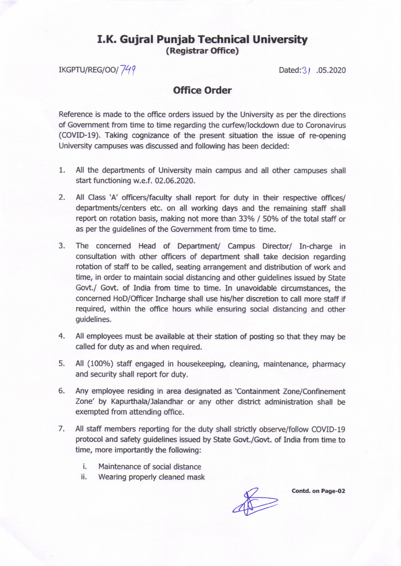## **I.K. Gujral Punjab Technical University** (Registrar Office)

IKGPTU/REG/OO/749 Dated:3 / .05.2020

## Office Order

Reference is made to the office orders issued by the University as per the directions of Government from time to time regarding the curfew/lockdown due to Coronavirus (COVID-19). Taking cognizance of the present situation the issue of re-opening University campuses was discussed and following has been decided:

- 1. All the departments of University main campus and all other campuses shall start functioning w.e.f. 02.06.2020.
- $2.$ All Class 'A' officers/faculty shall report for duty in their respective offices/ departments/centers etc. on all working days and the remaining staff shall report on rotation basis, making not more than 33% / 50% of the total staff or as per the guidelines of the Govemment from time to time.
- The concerned Head of Department/ Campus Director/ In-charge in consultation with other officers of departrnent shall take decision regarding rotation of staff to be called, seating arrangement and distribution of work and time, in order to maintain social distancing and other guidelines issued by State Govt./ Govt. of India from time to time, In unavoidable circumstances, the concerned HoD/Officer Incharge shall use his/her discretion to call more staff if required, within the office hours while ensuring social distancing and other guidelines. 3,
- All employees must be available at their station of posting so that they may be called for duty as and when required. 4.
- All (100%) staff engaged in housekeeping, cleaning, maintenance, pharmacy and security shall report for duty.  $5<sub>1</sub>$
- Any employee residing in area designated as 'Containment Zone/Confinement Zone' by Kapurthala/Jalandhar or any other district administration shall be exempted from attending office. 6.
- 7. All staff members reporting for the duty shall strictly observe/follow COVID-19 protocol and safety guidelines issued by State Govt./Govt. of India from time to time, more importantly the following:
	- i. Maintenance of social distance
	- ii. Wearing properly cleaned mask

 $\frac{1}{\sqrt{2}}$ 

Contd. on Page-02